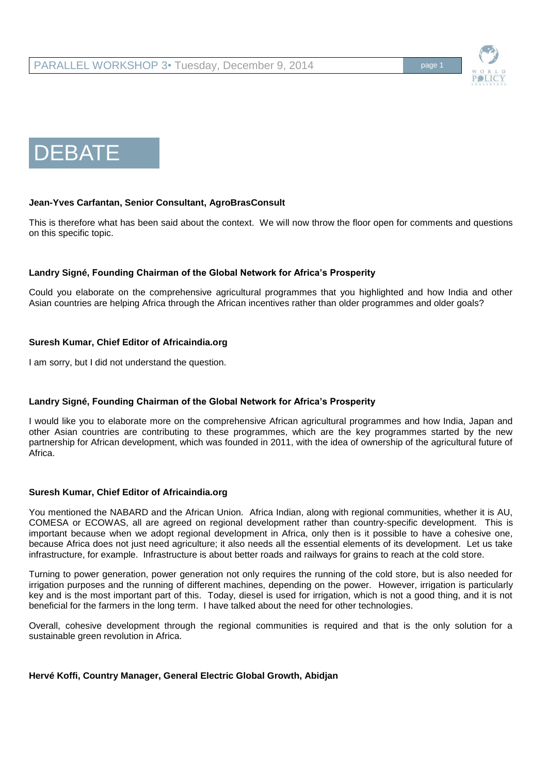

# DEBATE

## **Jean-Yves Carfantan, Senior Consultant, AgroBrasConsult**

This is therefore what has been said about the context. We will now throw the floor open for comments and questions on this specific topic.

## **Landry Signé, Founding Chairman of the Global Network for Africa's Prosperity**

Could you elaborate on the comprehensive agricultural programmes that you highlighted and how India and other Asian countries are helping Africa through the African incentives rather than older programmes and older goals?

### **Suresh Kumar, Chief Editor of Africaindia.org**

I am sorry, but I did not understand the question.

## **Landry Signé, Founding Chairman of the Global Network for Africa's Prosperity**

I would like you to elaborate more on the comprehensive African agricultural programmes and how India, Japan and other Asian countries are contributing to these programmes, which are the key programmes started by the new partnership for African development, which was founded in 2011, with the idea of ownership of the agricultural future of Africa.

#### **Suresh Kumar, Chief Editor of Africaindia.org**

You mentioned the NABARD and the African Union. Africa Indian, along with regional communities, whether it is AU, COMESA or ECOWAS, all are agreed on regional development rather than country-specific development. This is important because when we adopt regional development in Africa, only then is it possible to have a cohesive one, because Africa does not just need agriculture; it also needs all the essential elements of its development. Let us take infrastructure, for example. Infrastructure is about better roads and railways for grains to reach at the cold store.

Turning to power generation, power generation not only requires the running of the cold store, but is also needed for irrigation purposes and the running of different machines, depending on the power. However, irrigation is particularly key and is the most important part of this. Today, diesel is used for irrigation, which is not a good thing, and it is not beneficial for the farmers in the long term. I have talked about the need for other technologies.

Overall, cohesive development through the regional communities is required and that is the only solution for a sustainable green revolution in Africa.

## **Hervé Koffi, Country Manager, General Electric Global Growth, Abidjan**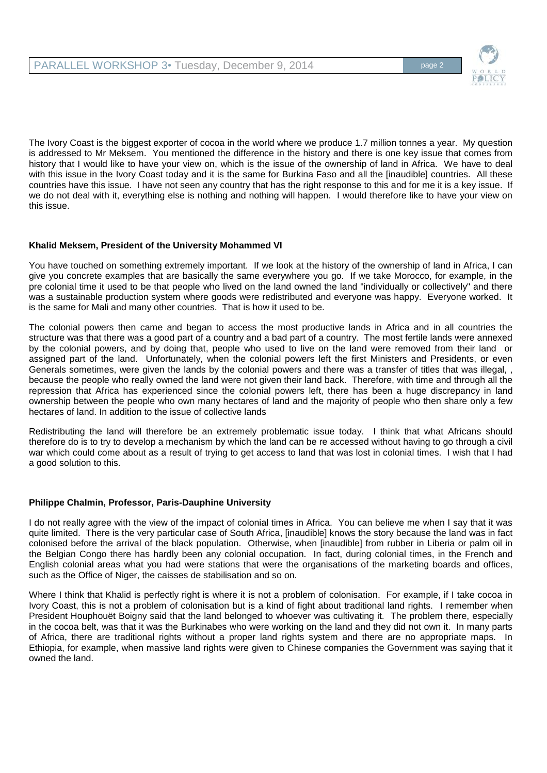

The Ivory Coast is the biggest exporter of cocoa in the world where we produce 1.7 million tonnes a year. My question is addressed to Mr Meksem. You mentioned the difference in the history and there is one key issue that comes from history that I would like to have your view on, which is the issue of the ownership of land in Africa. We have to deal with this issue in the Ivory Coast today and it is the same for Burkina Faso and all the [inaudible] countries. All these countries have this issue. I have not seen any country that has the right response to this and for me it is a key issue. If we do not deal with it, everything else is nothing and nothing will happen. I would therefore like to have your view on this issue.

# **Khalid Meksem, President of the University Mohammed VI**

You have touched on something extremely important. If we look at the history of the ownership of land in Africa, I can give you concrete examples that are basically the same everywhere you go. If we take Morocco, for example, in the pre colonial time it used to be that people who lived on the land owned the land "individually or collectively" and there was a sustainable production system where goods were redistributed and everyone was happy. Everyone worked. It is the same for Mali and many other countries. That is how it used to be.

The colonial powers then came and began to access the most productive lands in Africa and in all countries the structure was that there was a good part of a country and a bad part of a country. The most fertile lands were annexed by the colonial powers, and by doing that, people who used to live on the land were removed from their land or assigned part of the land. Unfortunately, when the colonial powers left the first Ministers and Presidents, or even Generals sometimes, were given the lands by the colonial powers and there was a transfer of titles that was illegal, , because the people who really owned the land were not given their land back. Therefore, with time and through all the repression that Africa has experienced since the colonial powers left, there has been a huge discrepancy in land ownership between the people who own many hectares of land and the majority of people who then share only a few hectares of land. In addition to the issue of collective lands

Redistributing the land will therefore be an extremely problematic issue today. I think that what Africans should therefore do is to try to develop a mechanism by which the land can be re accessed without having to go through a civil war which could come about as a result of trying to get access to land that was lost in colonial times. I wish that I had a good solution to this.

## **Philippe Chalmin, Professor, Paris-Dauphine University**

I do not really agree with the view of the impact of colonial times in Africa. You can believe me when I say that it was quite limited. There is the very particular case of South Africa, [inaudible] knows the story because the land was in fact colonised before the arrival of the black population. Otherwise, when [inaudible] from rubber in Liberia or palm oil in the Belgian Congo there has hardly been any colonial occupation. In fact, during colonial times, in the French and English colonial areas what you had were stations that were the organisations of the marketing boards and offices, such as the Office of Niger, the caisses de stabilisation and so on.

Where I think that Khalid is perfectly right is where it is not a problem of colonisation. For example, if I take cocoa in Ivory Coast, this is not a problem of colonisation but is a kind of fight about traditional land rights. I remember when President Houphouët Boigny said that the land belonged to whoever was cultivating it. The problem there, especially in the cocoa belt, was that it was the Burkinabes who were working on the land and they did not own it. In many parts of Africa, there are traditional rights without a proper land rights system and there are no appropriate maps. In Ethiopia, for example, when massive land rights were given to Chinese companies the Government was saying that it owned the land.